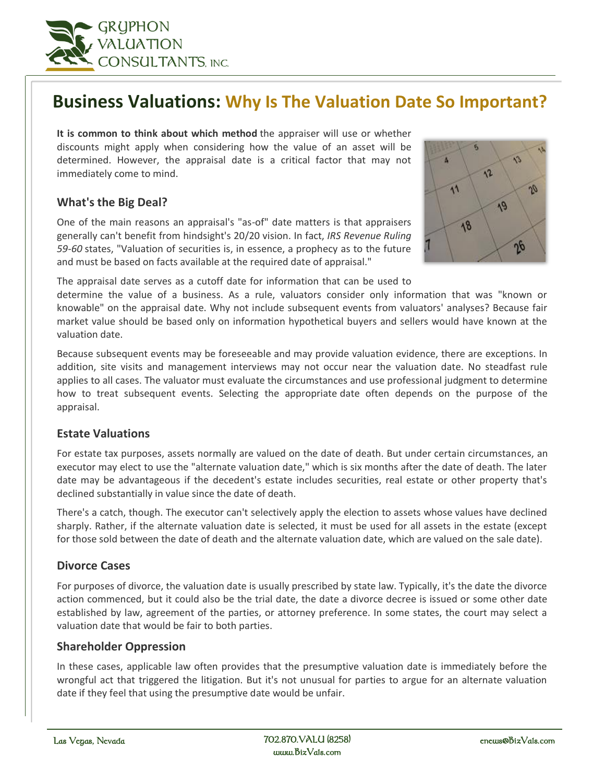

# **Business Valuations: Why Is The Valuation Date So Important?**

**It is common to think about which method** the appraiser will use or whether discounts might apply when considering how the value of an asset will be determined. However, the appraisal date is a critical factor that may not immediately come to mind.

## **What's the Big Deal?**

One of the main reasons an appraisal's "as-of" date matters is that appraisers generally can't benefit from hindsight's 20/20 vision. In fact, *IRS Revenue Ruling 59-60* states, "Valuation of securities is, in essence, a prophecy as to the future and must be based on facts available at the required date of appraisal."



The appraisal date serves as a cutoff date for information that can be used to

determine the value of a business. As a rule, valuators consider only information that was "known or knowable" on the appraisal date. Why not include subsequent events from valuators' analyses? Because fair market value should be based only on information hypothetical buyers and sellers would have known at the valuation date.

Because subsequent events may be foreseeable and may provide valuation evidence, there are exceptions. In addition, site visits and management interviews may not occur near the valuation date. No steadfast rule applies to all cases. The valuator must evaluate the circumstances and use professional judgment to determine how to treat subsequent events. Selecting the appropriate date often depends on the purpose of the appraisal.

### **Estate Valuations**

For estate tax purposes, assets normally are valued on the date of death. But under certain circumstances, an executor may elect to use the "alternate valuation date," which is six months after the date of death. The later date may be advantageous if the decedent's estate includes securities, real estate or other property that's declined substantially in value since the date of death.

There's a catch, though. The executor can't selectively apply the election to assets whose values have declined sharply. Rather, if the alternate valuation date is selected, it must be used for all assets in the estate (except for those sold between the date of death and the alternate valuation date, which are valued on the sale date).

#### **Divorce Cases**

For purposes of divorce, the valuation date is usually prescribed by state law. Typically, it's the date the divorce action commenced, but it could also be the trial date, the date a divorce decree is issued or some other date established by law, agreement of the parties, or attorney preference. In some states, the court may select a valuation date that would be fair to both parties.

#### **Shareholder Oppression**

In these cases, applicable law often provides that the presumptive valuation date is immediately before the wrongful act that triggered the litigation. But it's not unusual for parties to argue for an alternate valuation date if they feel that using the presumptive date would be unfair.